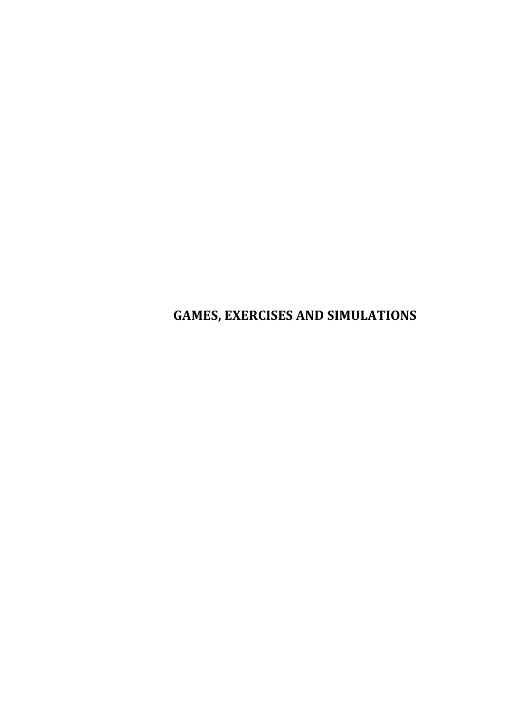# **GAMES, EXERCISES AND SIMULATIONS**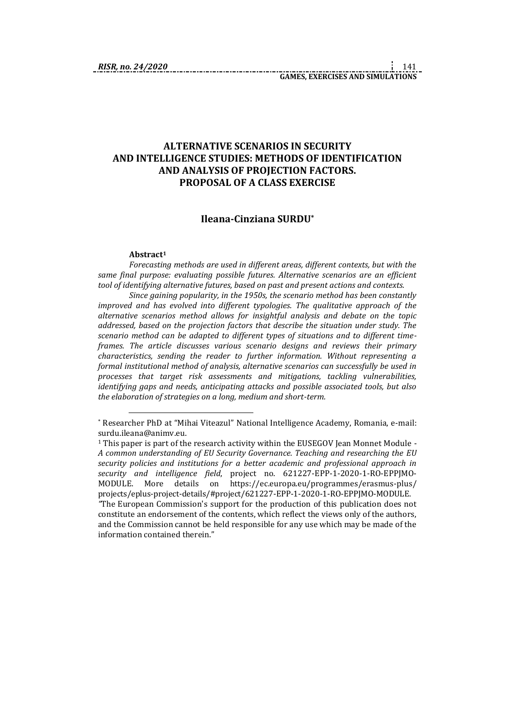#### **ALTERNATIVE SCENARIOS IN SECURITY AND INTELLIGENCE STUDIES: METHODS OF IDENTIFICATION AND ANALYSIS OF PROJECTION FACTORS. PROPOSAL OF A CLASS EXERCISE**

#### **Ileana-Cinziana SURDU\***

#### **Abstract<sup>1</sup>**

<u>.</u>

*Forecasting methods are used in different areas, different contexts, but with the same final purpose: evaluating possible futures. Alternative scenarios are an efficient tool of identifying alternative futures, based on past and present actions and contexts.*

*Since gaining popularity, in the 1950s, the scenario method has been constantly improved and has evolved into different typologies. The qualitative approach of the alternative scenarios method allows for insightful analysis and debate on the topic addressed, based on the projection factors that describe the situation under study. The scenario method can be adapted to different types of situations and to different timeframes. The article discusses various scenario designs and reviews their primary characteristics, sending the reader to further information. Without representing a formal institutional method of analysis, alternative scenarios can successfully be used in processes that target risk assessments and mitigations, tackling vulnerabilities, identifying gaps and needs, anticipating attacks and possible associated tools, but also the elaboration of strategies on a long, medium and short-term.*

<sup>\*</sup> Researcher PhD at "Mihai Viteazul" National Intelligence Academy, Romania, e-mail: surdu.ileana@animv.eu.

<sup>1</sup> This paper is part of the research activity within the EUSEGOV Jean Monnet Module - *A common understanding of EU Security Governance. Teaching and researching the EU security policies and institutions for a better academic and professional approach in security and intelligence field*, project no. 621227-EPP-1-2020-1-RO-EPPJMO-MODULE. More details on https://ec.europa.eu/programmes/erasmus-plus/ projects/eplus-project-details/#project/621227-EPP-1-2020-1-RO-EPPJMO-MODULE.

*<sup>&</sup>quot;*The European Commission's support for the production of this publication does not constitute an endorsement of the contents, which reflect the views only of the authors, and the Commission cannot be held responsible for any use which may be made of the information contained therein."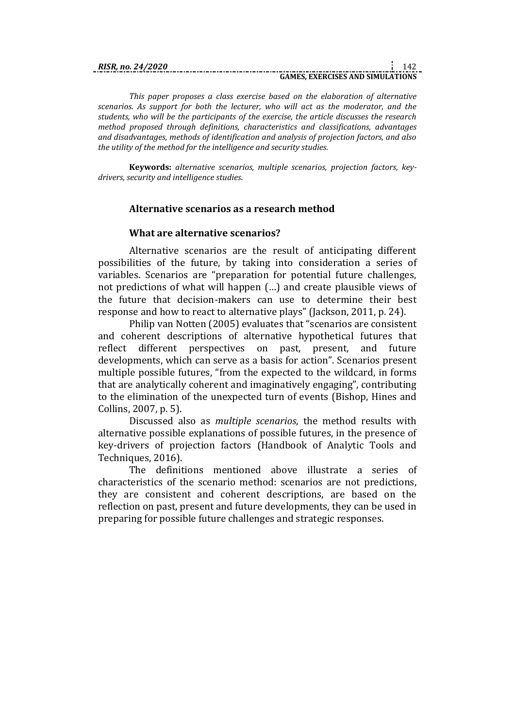# **GAMES, EXERCISES AND SIMULATIONS**

*This paper proposes a class exercise based on the elaboration of alternative scenarios. As support for both the lecturer, who will act as the moderator, and the students, who will be the participants of the exercise, the article discusses the research method proposed through definitions, characteristics and classifications, advantages and disadvantages, methods of identification and analysis of projection factors, and also the utility of the method for the intelligence and security studies.*

**Keywords:** *alternative scenarios, multiple scenarios, projection factors, keydrivers, security and intelligence studies.*

#### **Alternative scenarios as a research method**

#### **What are alternative scenarios?**

Alternative scenarios are the result of anticipating different possibilities of the future, by taking into consideration a series of variables. Scenarios are "preparation for potential future challenges, not predictions of what will happen (…) and create plausible views of the future that decision-makers can use to determine their best response and how to react to alternative plays" (Jackson, 2011, p. 24).

Philip van Notten (2005) evaluates that "scenarios are consistent and coherent descriptions of alternative hypothetical futures that reflect different perspectives on past, present, and future developments, which can serve as a basis for action". Scenarios present multiple possible futures, "from the expected to the wildcard, in forms that are analytically coherent and imaginatively engaging", contributing to the elimination of the unexpected turn of events (Bishop, Hines and Collins, 2007, p. 5).

Discussed also as *multiple scenarios*, the method results with alternative possible explanations of possible futures, in the presence of key-drivers of projection factors (Handbook of Analytic Tools and Techniques, 2016).

The definitions mentioned above illustrate a series of characteristics of the scenario method: scenarios are not predictions, they are consistent and coherent descriptions, are based on the reflection on past, present and future developments, they can be used in preparing for possible future challenges and strategic responses.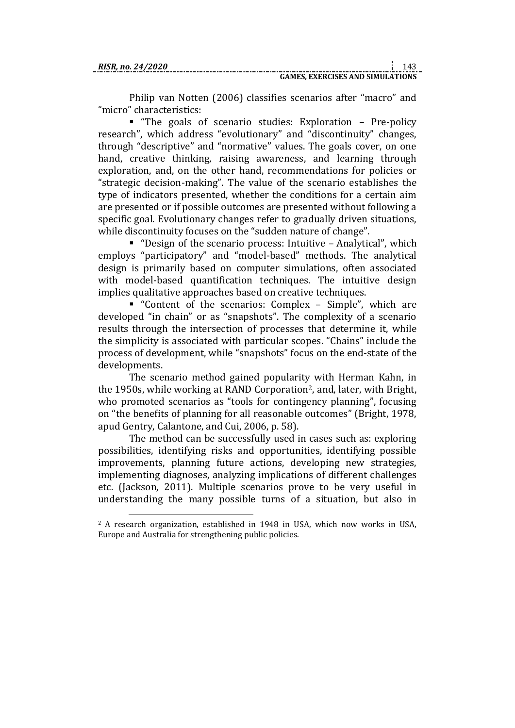1

Philip van Notten (2006) classifies scenarios after "macro" and "micro" characteristics:

 "The goals of scenario studies: Exploration – Pre-policy research", which address "evolutionary" and "discontinuity" changes, through "descriptive" and "normative" values. The goals cover, on one hand, creative thinking, raising awareness, and learning through exploration, and, on the other hand, recommendations for policies or "strategic decision-making". The value of the scenario establishes the type of indicators presented, whether the conditions for a certain aim are presented or if possible outcomes are presented without following a specific goal. Evolutionary changes refer to gradually driven situations, while discontinuity focuses on the "sudden nature of change".

 "Design of the scenario process: Intuitive – Analytical", which employs "participatory" and "model-based" methods. The analytical design is primarily based on computer simulations, often associated with model-based quantification techniques. The intuitive design implies qualitative approaches based on creative techniques.

 "Content of the scenarios: Complex – Simple", which are developed "in chain" or as "snapshots". The complexity of a scenario results through the intersection of processes that determine it, while the simplicity is associated with particular scopes. "Chains" include the process of development, while "snapshots" focus on the end-state of the developments.

The scenario method gained popularity with Herman Kahn, in the 1950s, while working at RAND Corporation2, and, later, with Bright, who promoted scenarios as "tools for contingency planning", focusing on "the benefits of planning for all reasonable outcomes" (Bright, 1978, apud Gentry, Calantone, and Cui, 2006, p. 58).

The method can be successfully used in cases such as: exploring possibilities, identifying risks and opportunities, identifying possible improvements, planning future actions, developing new strategies, implementing diagnoses, analyzing implications of different challenges etc. (Jackson, 2011). Multiple scenarios prove to be very useful in understanding the many possible turns of a situation, but also in

<sup>2</sup> A research organization, established in 1948 in USA, which now works in USA, Europe and Australia for strengthening public policies.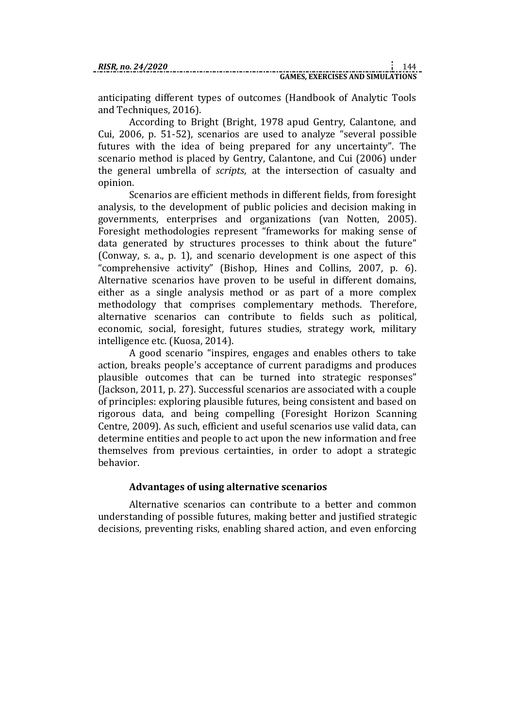anticipating different types of outcomes (Handbook of Analytic Tools and Techniques, 2016).

According to Bright (Bright, 1978 apud Gentry, Calantone, and Cui, 2006, p. 51-52), scenarios are used to analyze "several possible futures with the idea of being prepared for any uncertainty". The scenario method is placed by Gentry, Calantone, and Cui (2006) under the general umbrella of *scripts*, at the intersection of casualty and opinion.

Scenarios are efficient methods in different fields, from foresight analysis, to the development of public policies and decision making in governments, enterprises and organizations (van Notten, 2005). Foresight methodologies represent "frameworks for making sense of data generated by structures processes to think about the future" (Conway, s. a., p. 1), and scenario development is one aspect of this "comprehensive activity" (Bishop, Hines and Collins, 2007, p. 6). Alternative scenarios have proven to be useful in different domains, either as a single analysis method or as part of a more complex methodology that comprises complementary methods. Therefore, alternative scenarios can contribute to fields such as political, economic, social, foresight, futures studies, strategy work, military intelligence etc. (Kuosa, 2014).

A good scenario "inspires, engages and enables others to take action, breaks people's acceptance of current paradigms and produces plausible outcomes that can be turned into strategic responses" (Jackson, 2011, p. 27). Successful scenarios are associated with a couple of principles: exploring plausible futures, being consistent and based on rigorous data, and being compelling (Foresight Horizon Scanning Centre, 2009). As such, efficient and useful scenarios use valid data, can determine entities and people to act upon the new information and free themselves from previous certainties, in order to adopt a strategic behavior.

#### **Advantages of using alternative scenarios**

Alternative scenarios can contribute to a better and common understanding of possible futures, making better and justified strategic decisions, preventing risks, enabling shared action, and even enforcing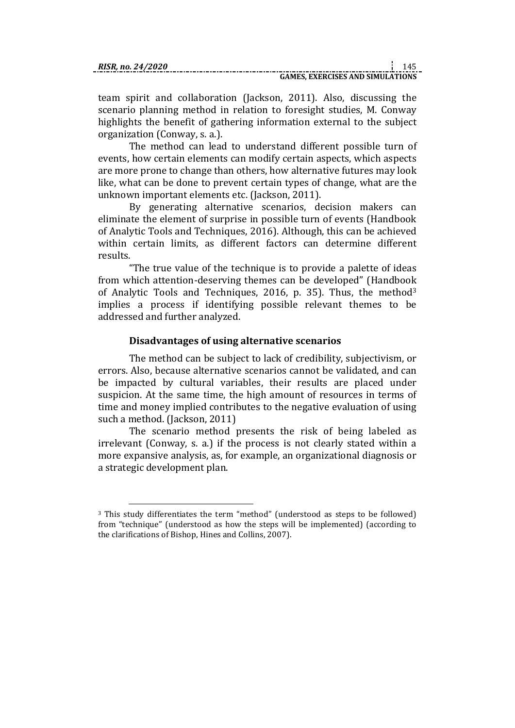1

team spirit and collaboration (Jackson, 2011). Also, discussing the scenario planning method in relation to foresight studies, M. Conway highlights the benefit of gathering information external to the subject organization (Conway, s. a.).

The method can lead to understand different possible turn of events, how certain elements can modify certain aspects, which aspects are more prone to change than others, how alternative futures may look like, what can be done to prevent certain types of change, what are the unknown important elements etc. (Jackson, 2011).

By generating alternative scenarios, decision makers can eliminate the element of surprise in possible turn of events (Handbook of Analytic Tools and Techniques, 2016). Although, this can be achieved within certain limits, as different factors can determine different results.

"The true value of the technique is to provide a palette of ideas from which attention-deserving themes can be developed" (Handbook of Analytic Tools and Techniques, 2016, p. 35). Thus, the method<sup>3</sup> implies a process if identifying possible relevant themes to be addressed and further analyzed.

## **Disadvantages of using alternative scenarios**

The method can be subject to lack of credibility, subjectivism, or errors. Also, because alternative scenarios cannot be validated, and can be impacted by cultural variables, their results are placed under suspicion. At the same time, the high amount of resources in terms of time and money implied contributes to the negative evaluation of using such a method. (Jackson, 2011)

The scenario method presents the risk of being labeled as irrelevant (Conway, s. a.) if the process is not clearly stated within a more expansive analysis, as, for example, an organizational diagnosis or a strategic development plan.

<sup>&</sup>lt;sup>3</sup> This study differentiates the term "method" (understood as steps to be followed) from "technique" (understood as how the steps will be implemented) (according to the clarifications of Bishop, Hines and Collins, 2007).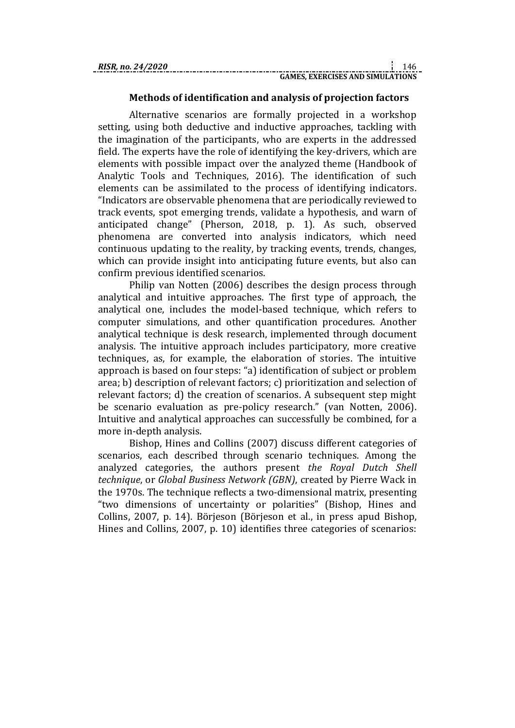#### **Methods of identification and analysis of projection factors**

Alternative scenarios are formally projected in a workshop setting, using both deductive and inductive approaches, tackling with the imagination of the participants, who are experts in the addressed field. The experts have the role of identifying the key-drivers, which are elements with possible impact over the analyzed theme (Handbook of Analytic Tools and Techniques, 2016). The identification of such elements can be assimilated to the process of identifying indicators. "Indicators are observable phenomena that are periodically reviewed to track events, spot emerging trends, validate a hypothesis, and warn of anticipated change" (Pherson, 2018, p. 1). As such, observed phenomena are converted into analysis indicators, which need continuous updating to the reality, by tracking events, trends, changes, which can provide insight into anticipating future events, but also can confirm previous identified scenarios.

Philip van Notten (2006) describes the design process through analytical and intuitive approaches. The first type of approach, the analytical one, includes the model-based technique, which refers to computer simulations, and other quantification procedures. Another analytical technique is desk research, implemented through document analysis. The intuitive approach includes participatory, more creative techniques, as, for example, the elaboration of stories. The intuitive approach is based on four steps: "a) identification of subject or problem area; b) description of relevant factors; c) prioritization and selection of relevant factors; d) the creation of scenarios. A subsequent step might be scenario evaluation as pre-policy research." (van Notten, 2006). Intuitive and analytical approaches can successfully be combined, for a more in-depth analysis.

Bishop, Hines and Collins (2007) discuss different categories of scenarios, each described through scenario techniques. Among the analyzed categories, the authors present *the Royal Dutch Shell technique*, or *Global Business Network (GBN)*, created by Pierre Wack in the 1970s. The technique reflects a two-dimensional matrix, presenting "two dimensions of uncertainty or polarities" (Bishop, Hines and Collins, 2007, p. 14). Börjeson (Börjeson et al., in press apud Bishop, Hines and Collins, 2007, p. 10) identifies three categories of scenarios: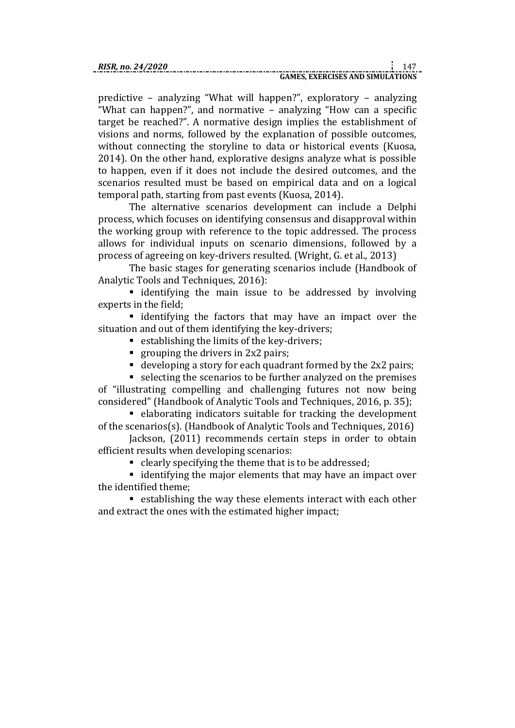predictive – analyzing "What will happen?", exploratory – analyzing "What can happen?", and normative – analyzing "How can a specific target be reached?". A normative design implies the establishment of visions and norms, followed by the explanation of possible outcomes, without connecting the storyline to data or historical events (Kuosa, 2014). On the other hand, explorative designs analyze what is possible to happen, even if it does not include the desired outcomes, and the scenarios resulted must be based on empirical data and on a logical temporal path, starting from past events (Kuosa, 2014).

The alternative scenarios development can include a Delphi process, which focuses on identifying consensus and disapproval within the working group with reference to the topic addressed. The process allows for individual inputs on scenario dimensions, followed by a process of agreeing on key-drivers resulted. (Wright, G. et al., 2013)

The basic stages for generating scenarios include (Handbook of Analytic Tools and Techniques, 2016):

 identifying the main issue to be addressed by involving experts in the field;

 identifying the factors that may have an impact over the situation and out of them identifying the key-drivers;

- establishing the limits of the key-drivers;
- grouping the drivers in  $2x2$  pairs;
- developing a story for each quadrant formed by the 2x2 pairs;

 selecting the scenarios to be further analyzed on the premises of "illustrating compelling and challenging futures not now being considered" (Handbook of Analytic Tools and Techniques, 2016, p. 35);

 elaborating indicators suitable for tracking the development of the scenarios(s). (Handbook of Analytic Tools and Techniques, 2016)

Jackson, (2011) recommends certain steps in order to obtain efficient results when developing scenarios:

clearly specifying the theme that is to be addressed;

■ identifying the major elements that may have an impact over the identified theme;

 establishing the way these elements interact with each other and extract the ones with the estimated higher impact;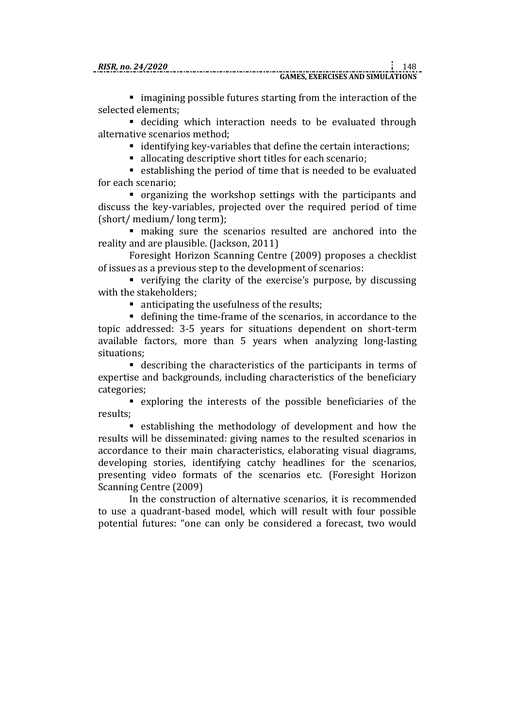imagining possible futures starting from the interaction of the selected elements;

 deciding which interaction needs to be evaluated through alternative scenarios method;

identifying key-variables that define the certain interactions;

allocating descriptive short titles for each scenario;

 establishing the period of time that is needed to be evaluated for each scenario;

 organizing the workshop settings with the participants and discuss the key-variables, projected over the required period of time (short/ medium/ long term);

 making sure the scenarios resulted are anchored into the reality and are plausible. (Jackson, 2011)

Foresight Horizon Scanning Centre (2009) proposes a checklist of issues as a previous step to the development of scenarios:

 verifying the clarity of the exercise's purpose, by discussing with the stakeholders;

nanticipating the usefulness of the results;

 defining the time-frame of the scenarios, in accordance to the topic addressed: 3-5 years for situations dependent on short-term available factors, more than 5 years when analyzing long-lasting situations;

 describing the characteristics of the participants in terms of expertise and backgrounds, including characteristics of the beneficiary categories;

 exploring the interests of the possible beneficiaries of the results;

 establishing the methodology of development and how the results will be disseminated: giving names to the resulted scenarios in accordance to their main characteristics, elaborating visual diagrams, developing stories, identifying catchy headlines for the scenarios, presenting video formats of the scenarios etc. (Foresight Horizon Scanning Centre (2009)

In the construction of alternative scenarios, it is recommended to use a quadrant-based model, which will result with four possible potential futures: "one can only be considered a forecast, two would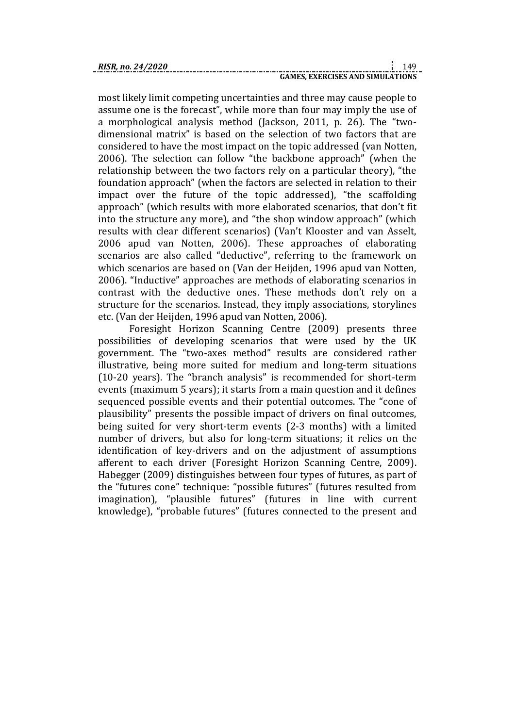most likely limit competing uncertainties and three may cause people to assume one is the forecast", while more than four may imply the use of a morphological analysis method (Jackson, 2011, p. 26). The "twodimensional matrix" is based on the selection of two factors that are considered to have the most impact on the topic addressed (van Notten, 2006). The selection can follow "the backbone approach" (when the relationship between the two factors rely on a particular theory), "the foundation approach" (when the factors are selected in relation to their impact over the future of the topic addressed), "the scaffolding approach" (which results with more elaborated scenarios, that don't fit into the structure any more), and "the shop window approach" (which results with clear different scenarios) (Van't Klooster and van Asselt, 2006 apud van Notten, 2006). These approaches of elaborating scenarios are also called "deductive", referring to the framework on which scenarios are based on (Van der Heijden, 1996 apud van Notten, 2006). "Inductive" approaches are methods of elaborating scenarios in contrast with the deductive ones. These methods don't rely on a structure for the scenarios. Instead, they imply associations, storylines etc. (Van der Heijden, 1996 apud van Notten, 2006).

Foresight Horizon Scanning Centre (2009) presents three possibilities of developing scenarios that were used by the UK government. The "two-axes method" results are considered rather illustrative, being more suited for medium and long-term situations (10-20 years). The "branch analysis" is recommended for short-term events (maximum 5 years); it starts from a main question and it defines sequenced possible events and their potential outcomes. The "cone of plausibility" presents the possible impact of drivers on final outcomes, being suited for very short-term events (2-3 months) with a limited number of drivers, but also for long-term situations; it relies on the identification of key-drivers and on the adjustment of assumptions afferent to each driver (Foresight Horizon Scanning Centre, 2009). Habegger (2009) distinguishes between four types of futures, as part of the "futures cone" technique: "possible futures" (futures resulted from imagination), "plausible futures" (futures in line with current knowledge), "probable futures" (futures connected to the present and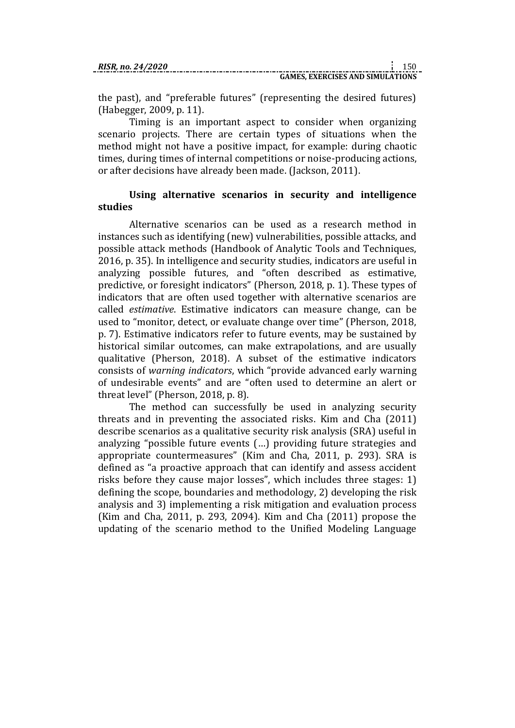the past), and "preferable futures" (representing the desired futures) (Habegger, 2009, p. 11).

Timing is an important aspect to consider when organizing scenario projects. There are certain types of situations when the method might not have a positive impact, for example: during chaotic times, during times of internal competitions or noise-producing actions, or after decisions have already been made. (Jackson, 2011).

#### **Using alternative scenarios in security and intelligence studies**

Alternative scenarios can be used as a research method in instances such as identifying (new) vulnerabilities, possible attacks, and possible attack methods (Handbook of Analytic Tools and Techniques, 2016, p. 35). In intelligence and security studies, indicators are useful in analyzing possible futures, and "often described as estimative, predictive, or foresight indicators" (Pherson, 2018, p. 1). These types of indicators that are often used together with alternative scenarios are called *estimative*. Estimative indicators can measure change, can be used to "monitor, detect, or evaluate change over time" (Pherson, 2018, p. 7). Estimative indicators refer to future events, may be sustained by historical similar outcomes, can make extrapolations, and are usually qualitative (Pherson, 2018). A subset of the estimative indicators consists of *warning indicators*, which "provide advanced early warning of undesirable events" and are "often used to determine an alert or threat level" (Pherson, 2018, p. 8).

The method can successfully be used in analyzing security threats and in preventing the associated risks. Kim and Cha (2011) describe scenarios as a qualitative security risk analysis (SRA) useful in analyzing "possible future events (…) providing future strategies and appropriate countermeasures" (Kim and Cha, 2011, p. 293). SRA is defined as "a proactive approach that can identify and assess accident risks before they cause major losses", which includes three stages: 1) defining the scope, boundaries and methodology, 2) developing the risk analysis and 3) implementing a risk mitigation and evaluation process (Kim and Cha, 2011, p. 293, 2094). Kim and Cha (2011) propose the updating of the scenario method to the Unified Modeling Language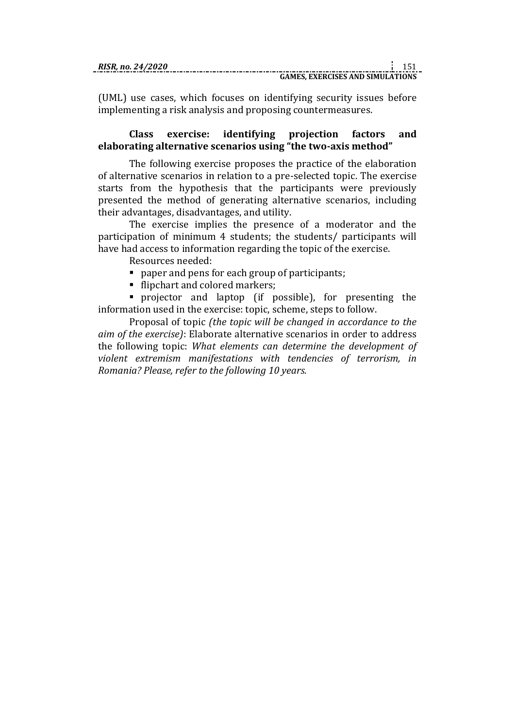(UML) use cases, which focuses on identifying security issues before implementing a risk analysis and proposing countermeasures.

#### **Class exercise: identifying projection factors and elaborating alternative scenarios using "the two-axis method"**

The following exercise proposes the practice of the elaboration of alternative scenarios in relation to a pre-selected topic. The exercise starts from the hypothesis that the participants were previously presented the method of generating alternative scenarios, including their advantages, disadvantages, and utility.

The exercise implies the presence of a moderator and the participation of minimum 4 students; the students/ participants will have had access to information regarding the topic of the exercise.

Resources needed:

- paper and pens for each group of participants;
- flipchart and colored markers;

 projector and laptop (if possible), for presenting the information used in the exercise: topic, scheme, steps to follow.

Proposal of topic *(the topic will be changed in accordance to the aim of the exercise)*: Elaborate alternative scenarios in order to address the following topic: *What elements can determine the development of violent extremism manifestations with tendencies of terrorism, in Romania? Please, refer to the following 10 years.*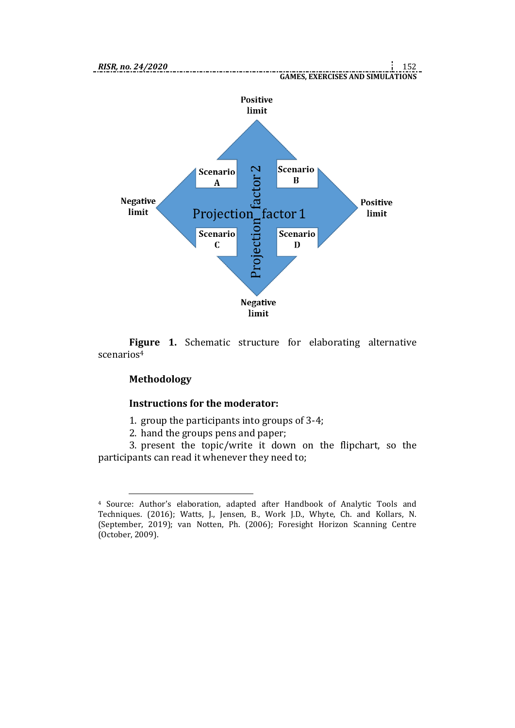

**Figure 1.** Schematic structure for elaborating alternative scenarios<sup>4</sup>

## **Methodology**

1

#### **Instructions for the moderator:**

1. group the participants into groups of 3-4;

2. hand the groups pens and paper;

3. present the topic/write it down on the flipchart, so the participants can read it whenever they need to;

<sup>4</sup> Source: Author's elaboration, adapted after Handbook of Analytic Tools and Techniques. (2016); Watts, J., Jensen, B., Work J.D., Whyte, Ch. and Kollars, N. (September, 2019); van Notten, Ph. (2006); Foresight Horizon Scanning Centre (October, 2009).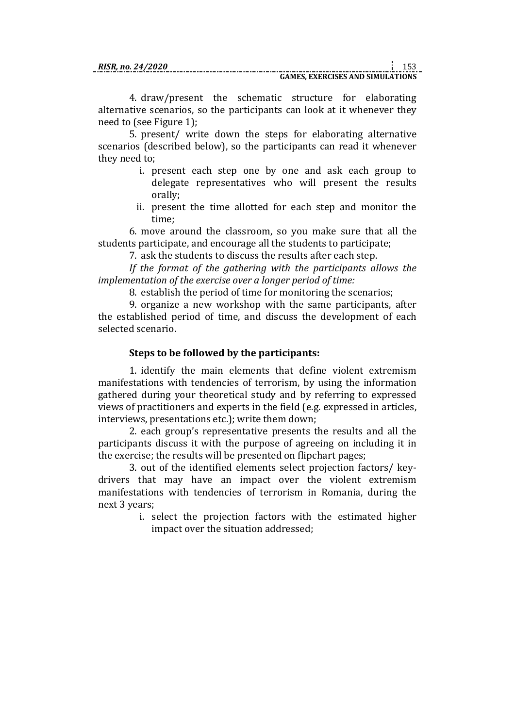4. draw/present the schematic structure for elaborating alternative scenarios, so the participants can look at it whenever they need to (see Figure 1);

5. present/ write down the steps for elaborating alternative scenarios (described below), so the participants can read it whenever they need to;

- i. present each step one by one and ask each group to delegate representatives who will present the results orally;
- ii. present the time allotted for each step and monitor the time;

6. move around the classroom, so you make sure that all the students participate, and encourage all the students to participate;

7. ask the students to discuss the results after each step.

*If the format of the gathering with the participants allows the implementation of the exercise over a longer period of time:*

8. establish the period of time for monitoring the scenarios;

9. organize a new workshop with the same participants, after the established period of time, and discuss the development of each selected scenario.

## **Steps to be followed by the participants:**

1. identify the main elements that define violent extremism manifestations with tendencies of terrorism, by using the information gathered during your theoretical study and by referring to expressed views of practitioners and experts in the field (e.g. expressed in articles, interviews, presentations etc.); write them down;

2. each group's representative presents the results and all the participants discuss it with the purpose of agreeing on including it in the exercise; the results will be presented on flipchart pages;

3. out of the identified elements select projection factors/ keydrivers that may have an impact over the violent extremism manifestations with tendencies of terrorism in Romania, during the next 3 years;

i. select the projection factors with the estimated higher impact over the situation addressed;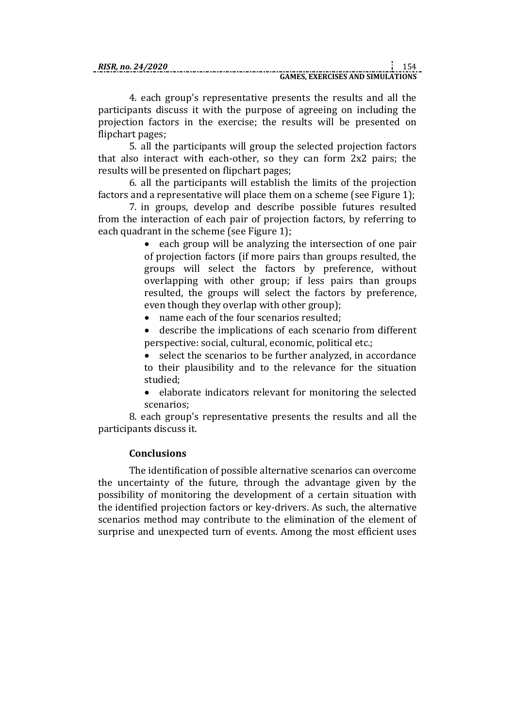#### **GAMES, EXERCISES AND SIMULATIONS**

4. each group's representative presents the results and all the participants discuss it with the purpose of agreeing on including the projection factors in the exercise; the results will be presented on flipchart pages;

5. all the participants will group the selected projection factors that also interact with each-other, so they can form 2x2 pairs; the results will be presented on flipchart pages;

6. all the participants will establish the limits of the projection factors and a representative will place them on a scheme (see Figure 1);

7. in groups, develop and describe possible futures resulted from the interaction of each pair of projection factors, by referring to each quadrant in the scheme (see Figure 1);

> • each group will be analyzing the intersection of one pair of projection factors (if more pairs than groups resulted, the groups will select the factors by preference, without overlapping with other group; if less pairs than groups resulted, the groups will select the factors by preference, even though they overlap with other group);

- name each of the four scenarios resulted;
- describe the implications of each scenario from different perspective: social, cultural, economic, political etc.;
- select the scenarios to be further analyzed, in accordance to their plausibility and to the relevance for the situation studied;
- elaborate indicators relevant for monitoring the selected scenarios;

8. each group's representative presents the results and all the participants discuss it.

#### **Conclusions**

The identification of possible alternative scenarios can overcome the uncertainty of the future, through the advantage given by the possibility of monitoring the development of a certain situation with the identified projection factors or key-drivers. As such, the alternative scenarios method may contribute to the elimination of the element of surprise and unexpected turn of events. Among the most efficient uses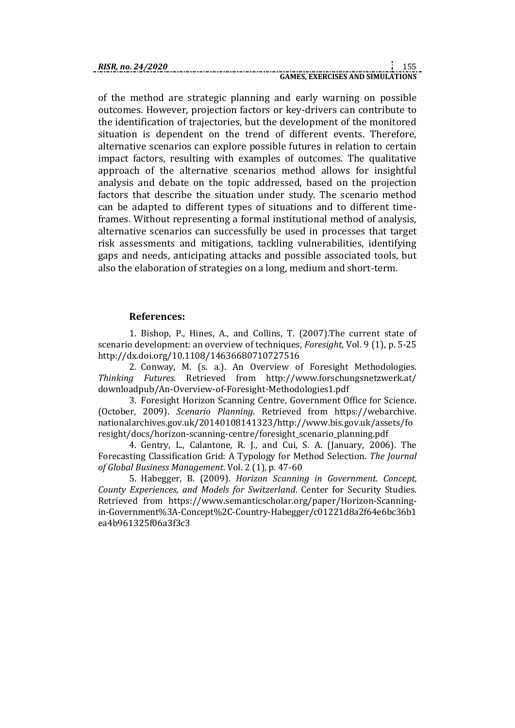of the method are strategic planning and early warning on possible outcomes. However, projection factors or key-drivers can contribute to the identification of trajectories, but the development of the monitored situation is dependent on the trend of different events. Therefore, alternative scenarios can explore possible futures in relation to certain impact factors, resulting with examples of outcomes. The qualitative approach of the alternative scenarios method allows for insightful analysis and debate on the topic addressed, based on the projection factors that describe the situation under study. The scenario method can be adapted to different types of situations and to different timeframes. Without representing a formal institutional method of analysis, alternative scenarios can successfully be used in processes that target risk assessments and mitigations, tackling vulnerabilities, identifying gaps and needs, anticipating attacks and possible associated tools, but also the elaboration of strategies on a long, medium and short-term.

#### **References:**

1. Bishop, P., Hines, A., and Collins, T. (2007).The current state of scenario development: an overview of techniques, *Foresight*, Vol. 9 (1), p. 5-25 http://dx.doi.org/10.1108/14636680710727516

2. Conway, M. (s. a.). An Overview of Foresight Methodologies. *Thinking Futures*. Retrieved from http://www.forschungsnetzwerk.at/ downloadpub/An-Overview-of-Foresight-Methodologies1.pdf

3. Foresight Horizon Scanning Centre, Government Office for Science. (October, 2009). *Scenario Planning*. Retrieved from https://webarchive. nationalarchives.gov.uk/20140108141323/http://www.bis.gov.uk/assets/fo resight/docs/horizon-scanning-centre/foresight\_scenario\_planning.pdf

4. Gentry, L., Calantone, R. J., and Cui, S. A. (January, 2006). The Forecasting Classification Grid: A Typology for Method Selection. *The Journal of Global Business Management*. Vol. 2 (1), p. 47-60

5. Habegger, B. (2009). *Horizon Scanning in Government*. *Concept, County Experiences, and Models for Switzerland*. Center for Security Studies. Retrieved from https://www.semanticscholar.org/paper/Horizon-Scanningin-Government%3A-Concept%2C-Country-Habegger/c01221d8a2f64e6bc36b1 ea4b961325f06a3f3c3